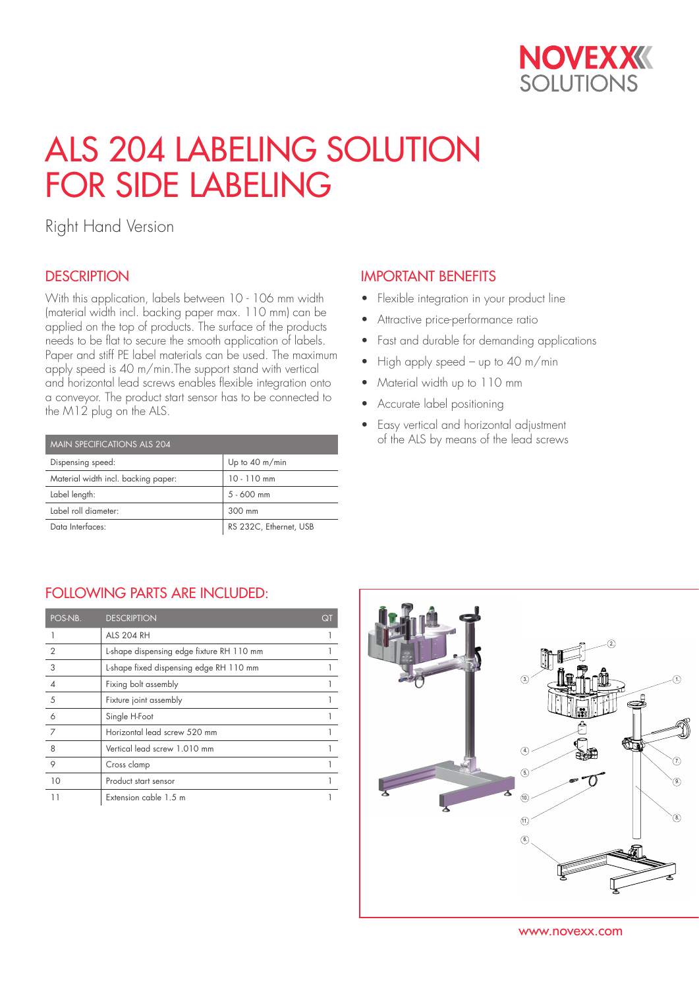

# ALS 204 LABELING SOLUTION FOR SIDE LABELING

Right Hand Version

## **DESCRIPTION**

With this application, labels between 10 - 106 mm width (material width incl. backing paper max. 110 mm) can be applied on the top of products. The surface of the products needs to be flat to secure the smooth application of labels. Paper and stiff PE label materials can be used. The maximum apply speed is 40 m/min.The support stand with vertical and horizontal lead screws enables flexible integration onto a conveyor. The product start sensor has to be connected to the M12 plug on the ALS.

| MAIN SPECIFICATIONS ALS 204         |                          |  |  |  |  |
|-------------------------------------|--------------------------|--|--|--|--|
| Dispensing speed:                   | Up to $40 \text{ m/min}$ |  |  |  |  |
| Material width incl. backing paper: | $10 - 110$ mm            |  |  |  |  |
| Label length:                       | $5 - 600$ mm             |  |  |  |  |
| Label roll diameter:                | 300 mm                   |  |  |  |  |
| Data Interfaces:                    | RS 232C, Ethernet, USB   |  |  |  |  |

#### IMPORTANT BENEFITS

- Flexible integration in your product line
- Attractive price-performance ratio
- Fast and durable for demanding applications
- High apply speed up to 40 m/min
- Material width up to 110 mm
- Accurate label positioning
- Easy vertical and horizontal adjustment of the ALS by means of the lead screws

### FOLLOWING PARTS ARE INCLUDED:

| POS-NB.        | <b>DESCRIPTION</b>                        | Qī |
|----------------|-------------------------------------------|----|
|                | <b>ALS 204 RH</b>                         |    |
| $\overline{2}$ | L-shape dispensing edge fixture RH 110 mm |    |
| 3              | L-shape fixed dispensing edge RH 110 mm   |    |
|                | Fixing bolt assembly                      |    |
| 5              | Fixture joint assembly                    |    |
| 6              | Single H-Foot                             |    |
| 7              | Horizontal lead screw 520 mm              |    |
| 8              | Vertical lead screw 1.010 mm              |    |
| 9              | Cross clamp                               |    |
| 10             | Product start sensor                      |    |
| 11             | Extension cable 1.5 m                     |    |